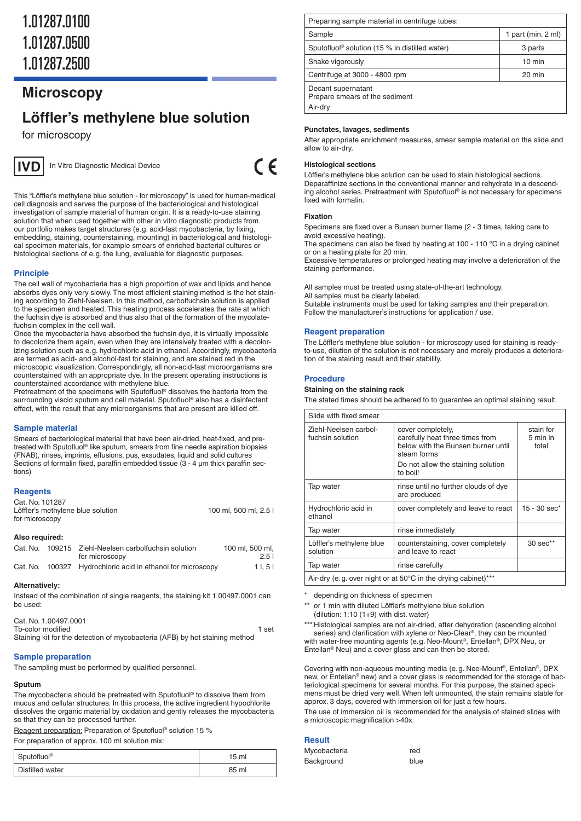## **Microscopy**

# **Löffler's methylene blue solution**

for microscopy



In Vitro Diagnostic Medical Device

 $\epsilon$ 

This "Löffler's methylene blue solution - for microscopy" is used for human-medical cell diagnosis and serves the purpose of the bacteriological and histological investigation of sample material of human origin. It is a ready-to-use staining solution that when used together with other in vitro diagnostic products from our portfolio makes target structures (e. g. acid-fast mycobacteria, by fixing, embedding, staining, counterstaining, mounting) in bacteriological and histological specimen materials, for example smears of enriched bacterial cultures or histological sections of e. g. the lung, evaluable for diagnostic purposes.

## **Principle**

The cell wall of mycobacteria has a high proportion of wax and lipids and hence absorbs dyes only very slowly. The most efficient staining method is the hot staining according to Ziehl-Neelsen. In this method, carbolfuchsin solution is applied to the specimen and heated. This heating process accelerates the rate at which the fuchsin dye is absorbed and thus also that of the formation of the mycolatefuchsin complex in the cell wall.

Once the mycobacteria have absorbed the fuchsin dye, it is virtually impossible to decolorize them again, even when they are intensively treated with a decolorizing solution such as e. g. hydrochloric acid in ethanol. Accordingly, mycobacteria are termed as acid- and alcohol-fast for staining, and are stained red in the microscopic visualization. Correspondingly, all non-acid-fast microorganisms are counterstained with an appropriate dye. In the present operating instructions is counterstained accordance with methylene blue.

Pretreatment of the specimens with Sputofluol® dissolves the bacteria from the surrounding viscid sputum and cell material. Sputofluol® also has a disinfectant effect, with the result that any microorganisms that are present are killed off.

## **Sample material**

Smears of bacteriological material that have been air-dried, heat-fixed, and pretreated with Sputofluol® like sputum, smears from fine needle aspiration biopsies (FNAB), rinses, imprints, effusions, pus, exsudates, liquid and solid cultures Sections of formalin fixed, paraffin embedded tissue (3 - 4 µm thick paraffin sections)

## **Reagents**

| Cat. No. 101287                   |                       |
|-----------------------------------|-----------------------|
| Löffler's methylene blue solution | 100 ml. 500 ml. 2.5 l |
| for microscopy                    |                       |

#### **Also required:**

| Cat. No. | 109215 Ziehl-Neelsen carbolfuchsin solution                 | 100 ml. 500 ml. |
|----------|-------------------------------------------------------------|-----------------|
|          | for microscopy                                              | 2.51            |
|          | Cat. No. 100327 Hydrochloric acid in ethanol for microscopy | 11.51           |

## **Alternatively:**

Instead of the combination of single reagents, the staining kit 1.00497.0001 can be used:

| Cat. No. 1.00497.0001                                                       |       |
|-----------------------------------------------------------------------------|-------|
| Tb-color modified                                                           | 1 set |
| Staining kit for the detection of mycobacteria (AFB) by hot staining method |       |

## **Sample preparation**

The sampling must be performed by qualified personnel.

## **Sputum**

The mycobacteria should be pretreated with Sputofluol® to dissolve them from mucus and cellular structures. In this process, the active ingredient hypochlorite dissolves the organic material by oxidation and gently releases the mycobacteria so that they can be processed further.

Reagent preparation: Preparation of Sputofluol® solution 15 %

For preparation of approx. 100 ml solution mix:

| Sputofluol <sup>®</sup> | 15 ml |
|-------------------------|-------|
| Distilled water         | 85 ml |

| Preparing sample material in centrifuge tubes:                  |                  |
|-----------------------------------------------------------------|------------------|
| Sample                                                          | part (min. 2 ml) |
| Sputofluol <sup>®</sup> solution (15 % in distilled water)      | 3 parts          |
| Shake vigorously                                                | $10 \text{ min}$ |
| Centrifuge at 3000 - 4800 rpm                                   | $20 \text{ min}$ |
| Decant supernatant<br>Prepare smears of the sediment<br>Air-dry |                  |

## **Punctates, lavages, sediments**

After appropriate enrichment measures, smear sample material on the slide and allow to air-dry.

## **Histological sections**

Löffler's methylene blue solution can be used to stain histological sections. Deparaffinize sections in the conventional manner and rehydrate in a descending alcohol series. Pretreatment with Sputofluol® is not necessary for specimens fixed with formalin.

## **Fixation**

Specimens are fixed over a Bunsen burner flame (2 - 3 times, taking care to avoid excessive heating).

The specimens can also be fixed by heating at 100 - 110 °C in a drying cabinet or on a heating plate for 20 min.

Excessive temperatures or prolonged heating may involve a deterioration of the staining performance.

All samples must be treated using state-of-the-art technology. All samples must be clearly labeled. Suitable instruments must be used for taking samples and their preparation.

Follow the manufacturer's instructions for application / use.

#### **Reagent preparation**

The Löffler's methylene blue solution - for microscopy used for staining is readyto-use, dilution of the solution is not necessary and merely produces a deterioration of the staining result and their stability.

#### **Procedure**

## **Staining on the staining rack**

The stated times should be adhered to to guarantee an optimal staining result.

| Slide with fixed smear                                        |                                                                                                                                                             |                                |  |
|---------------------------------------------------------------|-------------------------------------------------------------------------------------------------------------------------------------------------------------|--------------------------------|--|
| Ziehl-Neelsen carbol-<br>fuchsin solution                     | cover completely,<br>carefully heat three times from<br>below with the Bunsen burner until<br>steam forms<br>Do not allow the staining solution<br>to boil! | stain for<br>5 min in<br>total |  |
| Tap water                                                     | rinse until no further clouds of dye<br>are produced                                                                                                        |                                |  |
| Hydrochloric acid in<br>ethanol                               | cover completely and leave to react                                                                                                                         | $15 - 30$ sec*                 |  |
| Tap water                                                     | rinse immediately                                                                                                                                           |                                |  |
| Löffler's methylene blue<br>solution                          | counterstaining, cover completely<br>and leave to react                                                                                                     | 30 sec**                       |  |
| Tap water                                                     | rinse carefully                                                                                                                                             |                                |  |
| Air-dry (e.g. over night or at 50°C in the drying cabinet)*** |                                                                                                                                                             |                                |  |

\* depending on thickness of specimen

or 1 min with diluted Löffler's methylene blue solution (dilution: 1:10 (1+9) with dist. water)

\*\*\* Histological samples are not air-dried, after dehydration (ascending alcohol series) and clarification with xylene or Neo-Clear®, they can be mounted

with water-free mounting agents (e.g. Neo-Mount®, Entellan®, DPX Neu, or Entellan® Neu) and a cover glass and can then be stored.

Covering with non-aqueous mounting media (e. g. Neo-Mount®, Entellan®, DPX new, or Entellan® new) and a cover glass is recommended for the storage of bacteriological specimens for several months. For this purpose, the stained specimens must be dried very well. When left unmounted, the stain remains stable for approx. 3 days, covered with immersion oil for just a few hours.

The use of immersion oil is recommended for the analysis of stained slides with a microscopic magnification >40x.

## **Result**

| Mycobacteria | red  |
|--------------|------|
| Background   | blue |